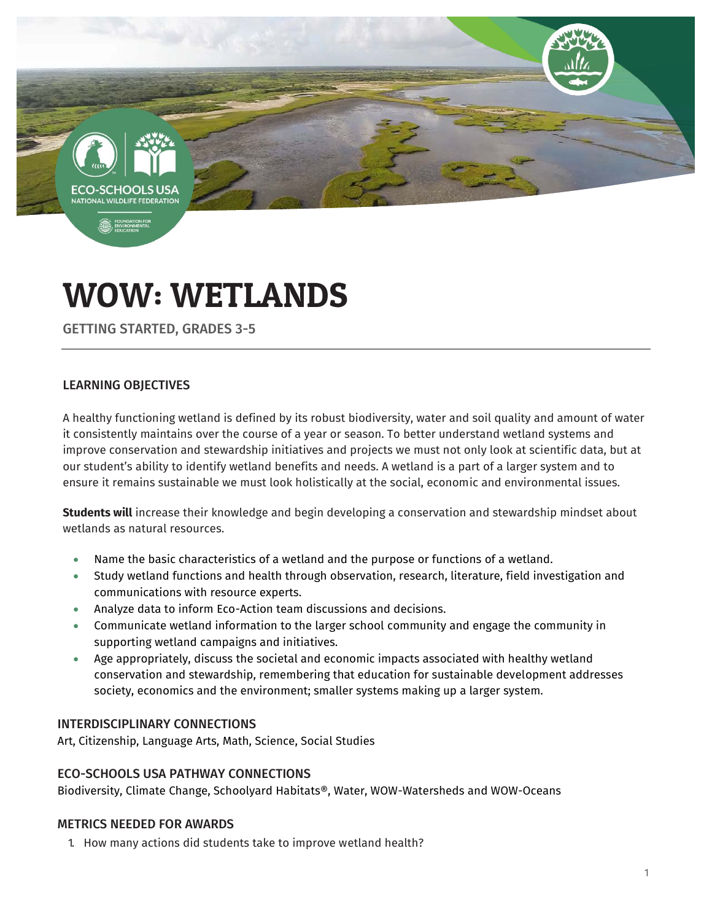-SCHOOLS **TIONAL WILDLIFE FEDERAT** 

**B**, ENVIRO

# WOW: WETLANDS

GETTING STARTED, GRADES 3-5

# LEARNING OBJECTIVES

A healthy functioning wetland is defined by its robust biodiversity, water and soil quality and amount of water it consistently maintains over the course of a year or season. To better understand wetland systems and improve conservation and stewardship initiatives and projects we must not only look at scientific data, but at our student's ability to identify wetland benefits and needs. A wetland is a part of a larger system and to ensure it remains sustainable we must look holistically at the social, economic and environmental issues.

**Students will** increase their knowledge and begin developing a conservation and stewardship mindset about wetlands as natural resources.

- Name the basic characteristics of a wetland and the purpose or functions of a wetland.
- Study wetland functions and health through observation, research, literature, field investigation and communications with resource experts.
- Analyze data to inform Eco-Action team discussions and decisions.
- Communicate wetland information to the larger school community and engage the community in supporting wetland campaigns and initiatives.
- Age appropriately, discuss the societal and economic impacts associated with healthy wetland conservation and stewardship, remembering that education for sustainable development addresses society, economics and the environment; smaller systems making up a larger system.

#### INTERDISCIPLINARY CONNECTIONS

Art, Citizenship, Language Arts, Math, Science, Social Studies

#### ECO-SCHOOLS USA PATHWAY CONNECTIONS

Biodiversity, Climate Change, Schoolyard Habitats®, Water, WOW-Watersheds and WOW-Oceans

#### METRICS NEEDED FOR AWARDS

1. How many actions did students take to improve wetland health?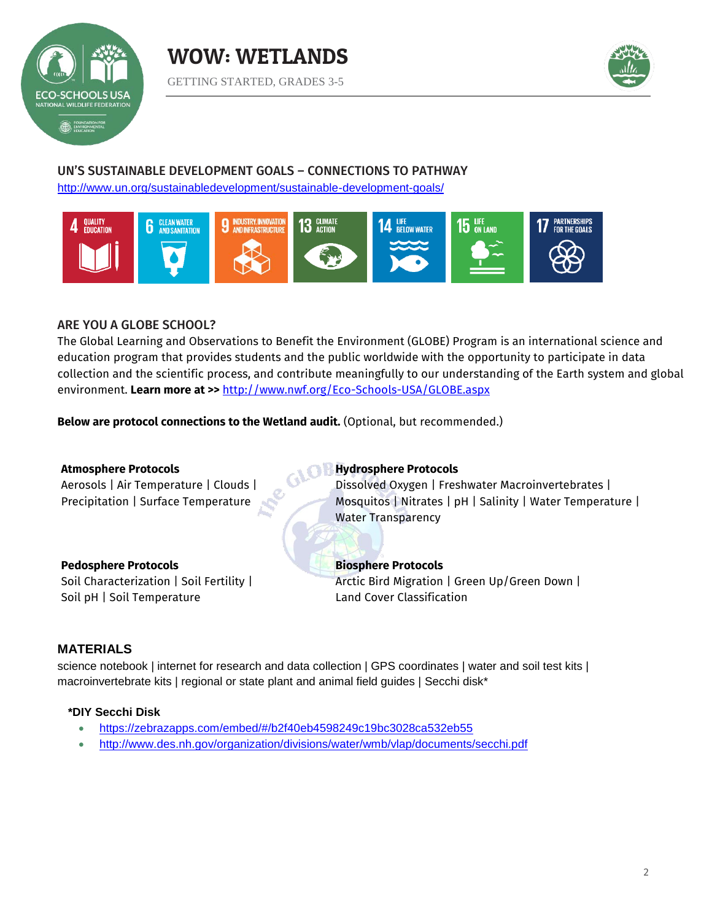





## UN'S SUSTAINABLE DEVELOPMENT GOALS – CONNECTIONS TO PATHWAY

<http://www.un.org/sustainabledevelopment/sustainable-development-goals/>



#### ARE YOU A GLOBE SCHOOL?

The Global Learning and Observations to Benefit the Environment (GLOBE) Program is an international science and education program that provides students and the public worldwide with the opportunity to participate in data collection and the scientific process, and contribute meaningfully to our understanding of the Earth system and global environment. **Learn more at >>** <http://www.nwf.org/Eco-Schools-USA/GLOBE.aspx>

**Below are protocol connections to the Wetland audit.** (Optional, but recommended.)

#### **Atmosphere Protocols** Aerosols | Air Temperature | Clouds | Precipitation | Surface Temperature **GLO B Hydrosphere Protocols** Dissolved Oxygen | Freshwater Macroinvertebrates | Mosquitos | Nitrates | pH | Salinity | Water Temperature | Water Transparency **Pedosphere Protocols** Soil Characterization | Soil Fertility | Soil pH | Soil Temperature **Biosphere Protocols**  Arctic Bird Migration | Green Up/Green Down | Land Cover Classification

#### **MATERIALS**

science notebook | internet for research and data collection | GPS coordinates | water and soil test kits | macroinvertebrate kits | regional or state plant and animal field guides | Secchi disk\*

#### **\*DIY Secchi Disk**

- <https://zebrazapps.com/embed/#/b2f40eb4598249c19bc3028ca532eb55>
- <http://www.des.nh.gov/organization/divisions/water/wmb/vlap/documents/secchi.pdf>